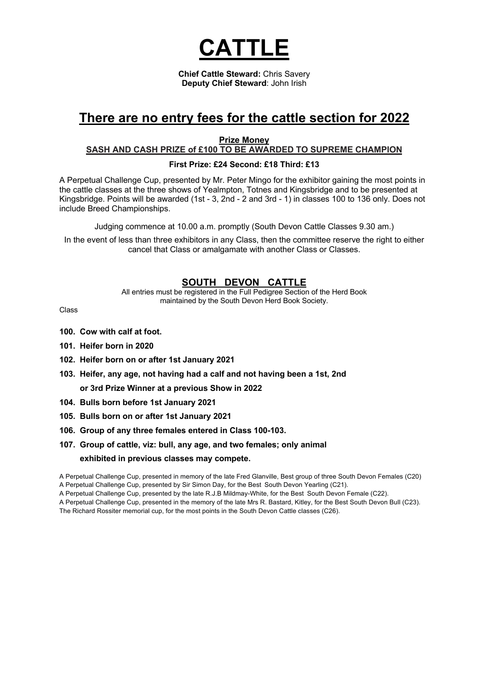

**Chief Cattle Steward:** Chris Savery **Deputy Chief Steward**: John Irish

# **There are no entry fees for the cattle section for 2022**

**Prize Money**

### **SASH AND CASH PRIZE of £100 TO BE AWARDED TO SUPREME CHAMPION**

#### **First Prize: £24 Second: £18 Third: £13**

A Perpetual Challenge Cup, presented by Mr. Peter Mingo for the exhibitor gaining the most points in the cattle classes at the three shows of Yealmpton, Totnes and Kingsbridge and to be presented at Kingsbridge. Points will be awarded (1st - 3, 2nd - 2 and 3rd - 1) in classes 100 to 136 only. Does not include Breed Championships.

Judging commence at 10.00 a.m. promptly (South Devon Cattle Classes 9.30 am.)

In the event of less than three exhibitors in any Class, then the committee reserve the right to either cancel that Class or amalgamate with another Class or Classes.

# **SOUTH DEVON CATTLE**

All entries must be registered in the Full Pedigree Section of the Herd Book maintained by the South Devon Herd Book Society.

Class

- **100. Cow with calf at foot.**
- **101. Heifer born in 2020**
- **102. Heifer born on or after 1st January 2021**
- **103. Heifer, any age, not having had a calf and not having been a 1st, 2nd or 3rd Prize Winner at a previous Show in 2022**
- **104. Bulls born before 1st January 2021**
- **105. Bulls born on or after 1st January 2021**
- **106. Group of any three females entered in Class 100-103.**
- **107. Group of cattle, viz: bull, any age, and two females; only animal exhibited in previous classes may compete.**

A Perpetual Challenge Cup, presented in memory of the late Fred Glanville, Best group of three South Devon Females (C20) A Perpetual Challenge Cup, presented by Sir Simon Day, for the Best South Devon Yearling (C21).

A Perpetual Challenge Cup, presented by the late R.J.B Mildmay-White, for the Best South Devon Female (C22).

A Perpetual Challenge Cup, presented in the memory of the late Mrs R. Bastard, Kitley, for the Best South Devon Bull (C23).

The Richard Rossiter memorial cup, for the most points in the South Devon Cattle classes (C26).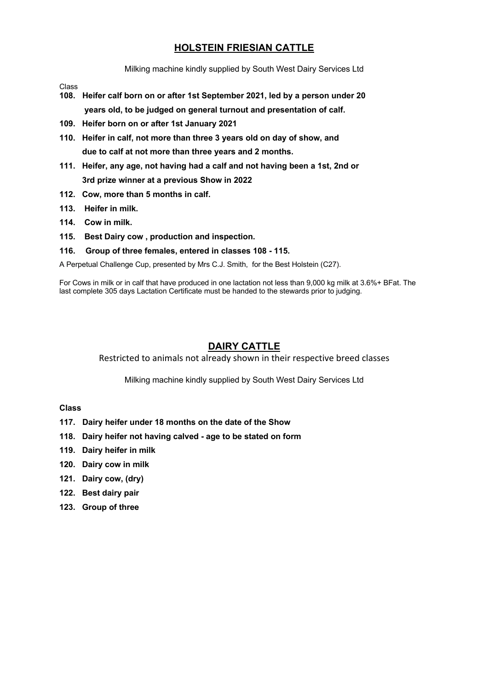# **HOLSTEIN FRIESIAN CATTLE**

Milking machine kindly supplied by South West Dairy Services Ltd

Class

- **108. Heifer calf born on or after 1st September 2021, led by a person under 20 years old, to be judged on general turnout and presentation of calf.**
- **109. Heifer born on or after 1st January 2021**
- **110. Heifer in calf, not more than three 3 years old on day of show, and due to calf at not more than three years and 2 months.**
- **111. Heifer, any age, not having had a calf and not having been a 1st, 2nd or 3rd prize winner at a previous Show in 2022**
- **112. Cow, more than 5 months in calf.**
- **113. Heifer in milk.**
- **114. Cow in milk.**
- **115. Best Dairy cow , production and inspection.**
- **116. Group of three females, entered in classes 108 - 115.**

A Perpetual Challenge Cup, presented by Mrs C.J. Smith, for the Best Holstein (C27).

For Cows in milk or in calf that have produced in one lactation not less than 9,000 kg milk at 3.6%+ BFat. The last complete 305 days Lactation Certificate must be handed to the stewards prior to judging.

# **DAIRY CATTLE**

Restricted to animals not already shown in their respective breed classes

Milking machine kindly supplied by South West Dairy Services Ltd

### **Class**

- **117. Dairy heifer under 18 months on the date of the Show**
- **118. Dairy heifer not having calved - age to be stated on form**
- **119. Dairy heifer in milk**
- **120. Dairy cow in milk**
- **121. Dairy cow, (dry)**
- **122. Best dairy pair**
- **123. Group of three**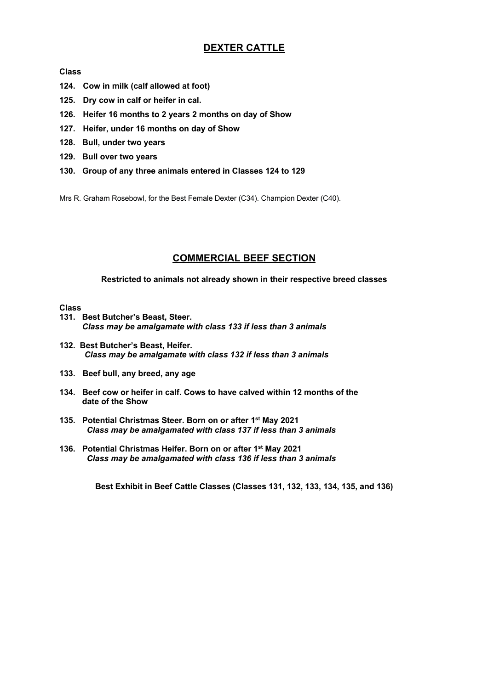# **DEXTER CATTLE**

#### **Class**

- **124. Cow in milk (calf allowed at foot)**
- **125. Dry cow in calf or heifer in cal.**
- **126. Heifer 16 months to 2 years 2 months on day of Show**
- **127. Heifer, under 16 months on day of Show**
- **128. Bull, under two years**
- **129. Bull over two years**
- **130. Group of any three animals entered in Classes 124 to 129**

Mrs R. Graham Rosebowl, for the Best Female Dexter (C34). Champion Dexter (C40).

# **COMMERCIAL BEEF SECTION**

**Restricted to animals not already shown in their respective breed classes**

#### **Class**

- **131. Best Butcher's Beast, Steer.** *Class may be amalgamate with class 133 if less than 3 animals*
- **132. Best Butcher's Beast, Heifer.** *Class may be amalgamate with class 132 if less than 3 animals*
- **133. Beef bull, any breed, any age**
- **134. Beef cow or heifer in calf. Cows to have calved within 12 months of the date of the Show**
- **135. Potential Christmas Steer. Born on or after 1st May 2021**  *Class may be amalgamated with class 137 if less than 3 animals*
- **136. Potential Christmas Heifer. Born on or after 1st May 2021**  *Class may be amalgamated with class 136 if less than 3 animals*

**Best Exhibit in Beef Cattle Classes (Classes 131, 132, 133, 134, 135, and 136)**